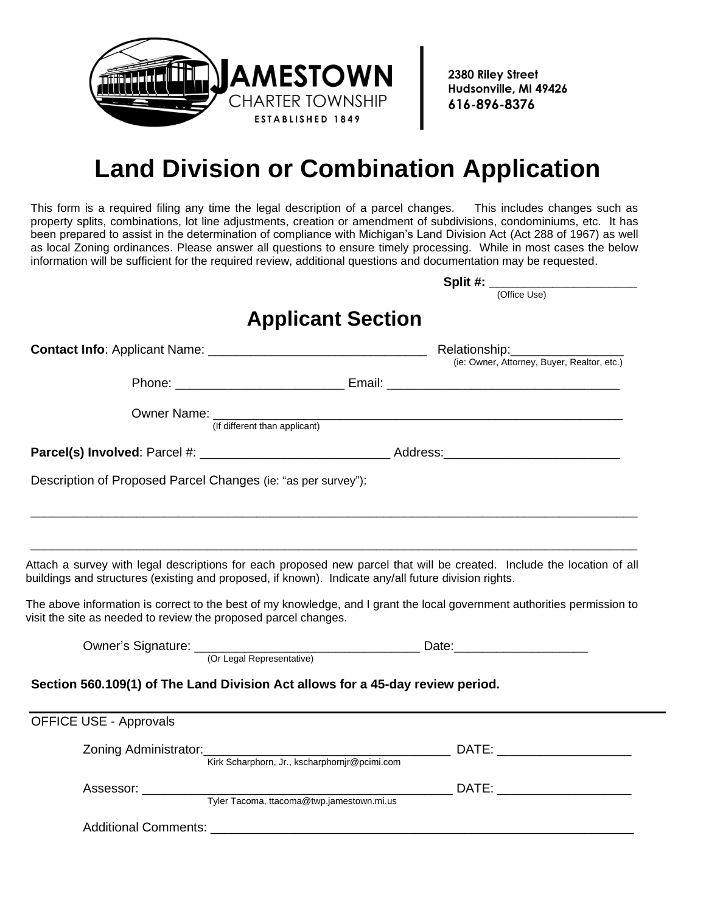

2380 Riley Street Hudsonville, MI 49426 616-896-8376

## **Land Division or Combination Application**

This form is a required filing any time the legal description of a parcel changes. This includes changes such as property splits, combinations, lot line adjustments, creation or amendment of subdivisions, condominiums, etc. It has been prepared to assist in the determination of compliance with Michigan's Land Division Act (Act 288 of 1967) as well as local Zoning ordinances. Please answer all questions to ensure timely processing. While in most cases the below information will be sufficient for the required review, additional questions and documentation may be requested.

|                                                                                                      | Split #: ________________________                                                                                        |
|------------------------------------------------------------------------------------------------------|--------------------------------------------------------------------------------------------------------------------------|
|                                                                                                      | (Office Use)                                                                                                             |
|                                                                                                      | <b>Applicant Section</b>                                                                                                 |
|                                                                                                      |                                                                                                                          |
|                                                                                                      | (ie: Owner, Attorney, Buyer, Realtor, etc.)                                                                              |
|                                                                                                      |                                                                                                                          |
|                                                                                                      |                                                                                                                          |
|                                                                                                      | Owner Name: (If different than applicant)                                                                                |
|                                                                                                      |                                                                                                                          |
| Description of Proposed Parcel Changes (ie: "as per survey"):                                        |                                                                                                                          |
|                                                                                                      |                                                                                                                          |
|                                                                                                      |                                                                                                                          |
|                                                                                                      |                                                                                                                          |
|                                                                                                      | Attach a survey with legal descriptions for each proposed new parcel that will be created. Include the location of all   |
| buildings and structures (existing and proposed, if known). Indicate any/all future division rights. |                                                                                                                          |
|                                                                                                      | The above information is correct to the best of my knowledge, and I grant the local government authorities permission to |
| visit the site as needed to review the proposed parcel changes.                                      |                                                                                                                          |
|                                                                                                      |                                                                                                                          |
|                                                                                                      |                                                                                                                          |
| Section 560.109(1) of The Land Division Act allows for a 45-day review period.                       |                                                                                                                          |
|                                                                                                      |                                                                                                                          |
| <b>OFFICE USE - Approvals</b>                                                                        |                                                                                                                          |
|                                                                                                      |                                                                                                                          |
|                                                                                                      |                                                                                                                          |
|                                                                                                      | Zoning Administrator: Kirk Scharphorn, Jr., kscharphornjr@pcimi.com DATE: _________________________                      |
|                                                                                                      |                                                                                                                          |
| Assessor:<br>Tyler Tacoma, ttacoma@twp.jamestown.mi.us                                               |                                                                                                                          |
|                                                                                                      |                                                                                                                          |